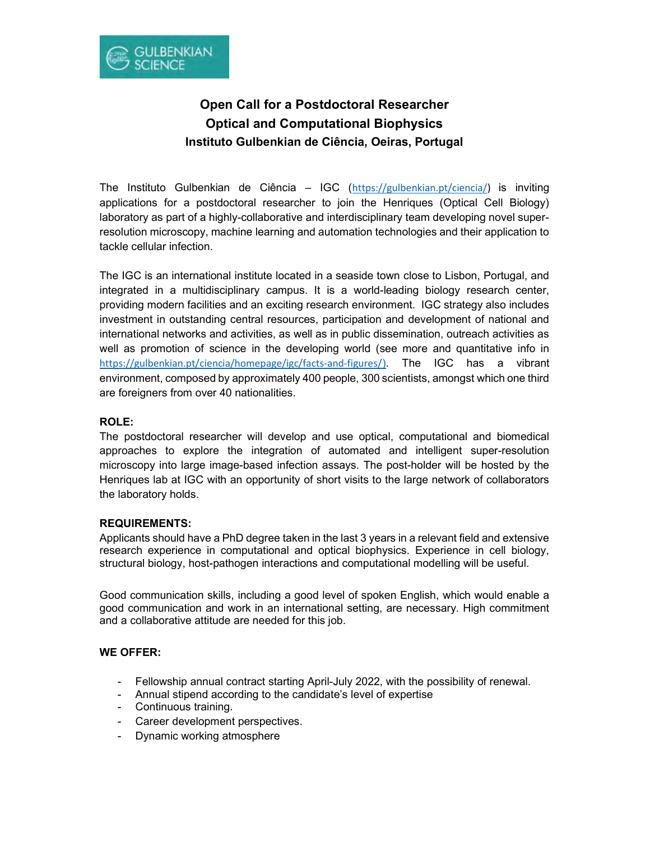

# Open Call for a Postdoctoral Researcher Optical and Computational Biophysics Instituto Gulbenkian de Ciência, Oeiras, Portugal

The Instituto Gulbenkian de Ciência – IGC (https://gulbenkian.pt/ciencia/) is inviting applications for a postdoctoral researcher to join the Henriques (Optical Cell Biology) laboratory as part of a highly-collaborative and interdisciplinary team developing novel superresolution microscopy, machine learning and automation technologies and their application to tackle cellular infection.

The IGC is an international institute located in a seaside town close to Lisbon, Portugal, and integrated in a multidisciplinary campus. It is a world-leading biology research center, providing modern facilities and an exciting research environment. IGC strategy also includes investment in outstanding central resources, participation and development of national and international networks and activities, as well as in public dissemination, outreach activities as well as promotion of science in the developing world (see more and quantitative info in https://gulbenkian.pt/ciencia/homepage/igc/facts-and-figures/). The IGC has a vibrant environment, composed by approximately 400 people, 300 scientists, amongst which one third are foreigners from over 40 nationalities.

## ROLE:

The postdoctoral researcher will develop and use optical, computational and biomedical approaches to explore the integration of automated and intelligent super-resolution microscopy into large image-based infection assays. The post-holder will be hosted by the Henriques lab at IGC with an opportunity of short visits to the large network of collaborators the laboratory holds.

## REQUIREMENTS:

Applicants should have a PhD degree taken in the last 3 years in a relevant field and extensive research experience in computational and optical biophysics. Experience in cell biology, structural biology, host-pathogen interactions and computational modelling will be useful.

Good communication skills, including a good level of spoken English, which would enable a good communication and work in an international setting, are necessary. High commitment and a collaborative attitude are needed for this job.

#### WE OFFER:

- Fellowship annual contract starting April-July 2022, with the possibility of renewal.
- Annual stipend according to the candidate's level of expertise
- Continuous training.
- Career development perspectives.
- Dynamic working atmosphere